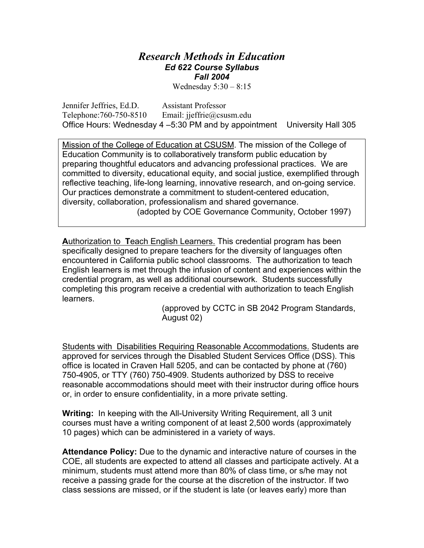## *Research Methods in Education Ed 622 Course Syllabus Fall 2004*

Wednesday 5:30 – 8:15

Jennifer Jeffries, Ed.D. Assistant Professor Telephone:760-750-8510 Email: jieffrie@csusm.edu Office Hours: Wednesday 4 –5:30 PM and by appointment University Hall 305

Mission of the College of Education at CSUSM. The mission of the College of Education Community is to collaboratively transform public education by preparing thoughtful educators and advancing professional practices. We are committed to diversity, educational equity, and social justice, exemplified through reflective teaching, life-long learning, innovative research, and on-going service. Our practices demonstrate a commitment to student-centered education, diversity, collaboration, professionalism and shared governance. (adopted by COE Governance Community, October 1997)

**A**uthorization to **T**each English Learners. This credential program has been specifically designed to prepare teachers for the diversity of languages often encountered in California public school classrooms. The authorization to teach English learners is met through the infusion of content and experiences within the credential program, as well as additional coursework. Students successfully completing this program receive a credential with authorization to teach English learners.

> (approved by CCTC in SB 2042 Program Standards, August 02)

Students with Disabilities Requiring Reasonable Accommodations. Students are approved for services through the Disabled Student Services Office (DSS). This office is located in Craven Hall 5205, and can be contacted by phone at (760) 750-4905, or TTY (760) 750-4909. Students authorized by DSS to receive reasonable accommodations should meet with their instructor during office hours or, in order to ensure confidentiality, in a more private setting.

**Writing:** In keeping with the All-University Writing Requirement, all 3 unit courses must have a writing component of at least 2,500 words (approximately 10 pages) which can be administered in a variety of ways.

**Attendance Policy:** Due to the dynamic and interactive nature of courses in the COE, all students are expected to attend all classes and participate actively. At a minimum, students must attend more than 80% of class time, or s/he may not receive a passing grade for the course at the discretion of the instructor. If two class sessions are missed, or if the student is late (or leaves early) more than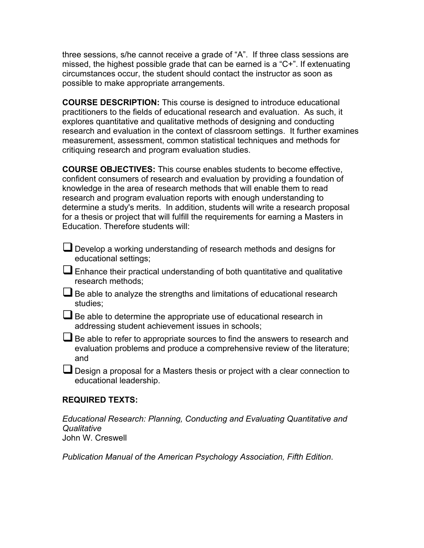three sessions, s/he cannot receive a grade of "A". If three class sessions are missed, the highest possible grade that can be earned is a "C+". If extenuating circumstances occur, the student should contact the instructor as soon as possible to make appropriate arrangements.

**COURSE DESCRIPTION:** This course is designed to introduce educational practitioners to the fields of educational research and evaluation. As such, it explores quantitative and qualitative methods of designing and conducting research and evaluation in the context of classroom settings. It further examines measurement, assessment, common statistical techniques and methods for critiquing research and program evaluation studies.

**COURSE OBJECTIVES:** This course enables students to become effective, confident consumers of research and evaluation by providing a foundation of knowledge in the area of research methods that will enable them to read research and program evaluation reports with enough understanding to determine a study's merits. In addition, students will write a research proposal for a thesis or project that will fulfill the requirements for earning a Masters in Education. Therefore students will:

Develop a working understanding of research methods and designs for educational settings;

Enhance their practical understanding of both quantitative and qualitative research methods;

- $\Box$  Be able to analyze the strengths and limitations of educational research studies;
- $\Box$  Be able to determine the appropriate use of educational research in addressing student achievement issues in schools;

Be able to refer to appropriate sources to find the answers to research and evaluation problems and produce a comprehensive review of the literature; and

Design a proposal for a Masters thesis or project with a clear connection to educational leadership.

## **REQUIRED TEXTS:**

*Educational Research: Planning, Conducting and Evaluating Quantitative and Qualitative*  John W. Creswell

*Publication Manual of the American Psychology Association, Fifth Edition*.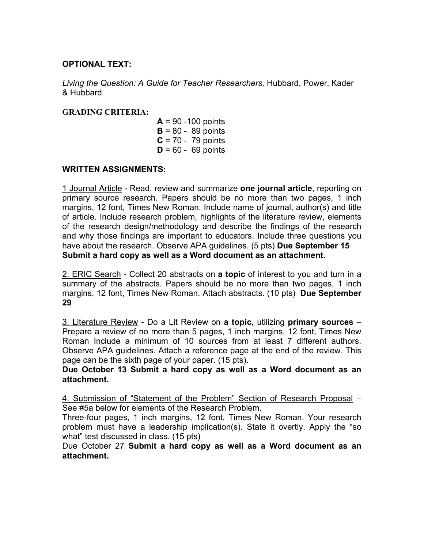## **OPTIONAL TEXT:**

*Living the Question: A Guide for Teacher Researchers,* Hubbard, Power, Kader & Hubbard

#### **GRADING CRITERIA:**

**A** = 90 -100 points **B** = 80 - 89 points **C** = 70 - 79 points **D** = 60 - 69 points

#### **WRITTEN ASSIGNMENTS:**

1 Journal Article - Read, review and summarize **one journal article**, reporting on primary source research. Papers should be no more than two pages, 1 inch margins, 12 font, Times New Roman. Include name of journal, author(s) and title of article. Include research problem, highlights of the literature review, elements of the research design/methodology and describe the findings of the research and why those findings are important to educators. Include three questions you have about the research. Observe APA guidelines. (5 pts) **Due September 15 Submit a hard copy as well as a Word document as an attachment.**

2. ERIC Search - Collect 20 abstracts on **a topic** of interest to you and turn in a summary of the abstracts. Papers should be no more than two pages, 1 inch margins, 12 font, Times New Roman. Attach abstracts. (10 pts) **Due September 29**

3. Literature Review - Do a Lit Review on **a topic**, utilizing **primary sources** – Prepare a review of no more than 5 pages, 1 inch margins, 12 font, Times New Roman Include a minimum of 10 sources from at least 7 different authors. Observe APA guidelines. Attach a reference page at the end of the review. This page can be the sixth page of your paper. (15 pts).

**Due October 13 Submit a hard copy as well as a Word document as an attachment.** 

4. Submission of "Statement of the Problem" Section of Research Proposal – See #5a below for elements of the Research Problem.

Three-four pages, 1 inch margins, 12 font, Times New Roman. Your research problem must have a leadership implication(s). State it overtly. Apply the "so what" test discussed in class. (15 pts)

Due October 27 **Submit a hard copy as well as a Word document as an attachment.**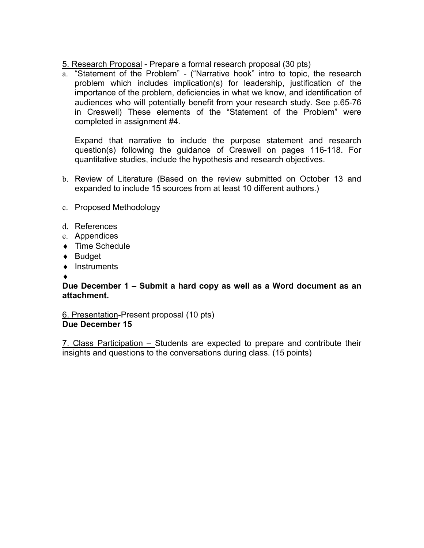5. Research Proposal - Prepare a formal research proposal (30 pts)

a. "Statement of the Problem" - ("Narrative hook" intro to topic, the research problem which includes implication(s) for leadership, justification of the importance of the problem, deficiencies in what we know, and identification of audiences who will potentially benefit from your research study. See p.65-76 in Creswell) These elements of the "Statement of the Problem" were completed in assignment #4.

Expand that narrative to include the purpose statement and research question(s) following the guidance of Creswell on pages 116-118. For quantitative studies, include the hypothesis and research objectives.

- b. Review of Literature (Based on the review submitted on October 13 and expanded to include 15 sources from at least 10 different authors.)
- c. Proposed Methodology
- d. References
- e. Appendices
- ◆ Time Schedule
- ♦ Budget
- ♦ Instruments
- ♦

#### **Due December 1 – Submit a hard copy as well as a Word document as an attachment.**

6. Presentation-Present proposal (10 pts) **Due December 15** 

7. Class Participation – Students are expected to prepare and contribute their insights and questions to the conversations during class. (15 points)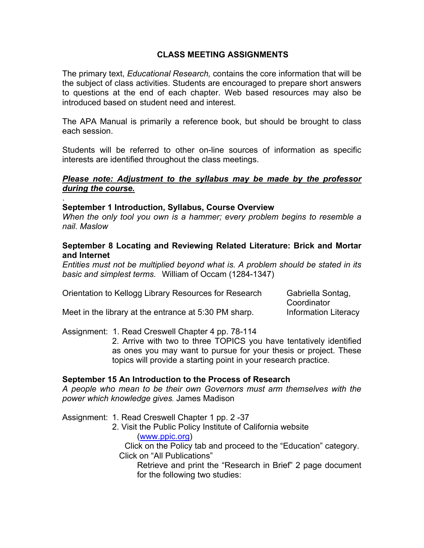# **CLASS MEETING ASSIGNMENTS**

The primary text, *Educational Research,* contains the core information that will be the subject of class activities. Students are encouraged to prepare short answers to questions at the end of each chapter. Web based resources may also be introduced based on student need and interest.

The APA Manual is primarily a reference book, but should be brought to class each session.

Students will be referred to other on-line sources of information as specific interests are identified throughout the class meetings.

### *Please note: Adjustment to the syllabus may be made by the professor during the course.*

#### **September 1 Introduction, Syllabus, Course Overview**

.

*When the only tool you own is a hammer; every problem begins to resemble a nail. Maslow*

#### **September 8 Locating and Reviewing Related Literature: Brick and Mortar and Internet**

*Entities must not be multiplied beyond what is. A problem should be stated in its basic and simplest terms.* William of Occam (1284-1347)

| Orientation to Kellogg Library Resources for Research | Gabriella Sontag,           |
|-------------------------------------------------------|-----------------------------|
|                                                       | Coordinator                 |
| Meet in the library at the entrance at 5:30 PM sharp. | <b>Information Literacy</b> |

Assignment: 1. Read Creswell Chapter 4 pp. 78-114

2. Arrive with two to three TOPICS you have tentatively identified as ones you may want to pursue for your thesis or project. These topics will provide a starting point in your research practice.

## **September 15 An Introduction to the Process of Research**

*A people who mean to be their own Governors must arm themselves with the power which knowledge gives.* James Madison

Assignment: 1. Read Creswell Chapter 1 pp. 2 -37

2. Visit the Public Policy Institute of California website

#### (www.ppic.org)

 Click on the Policy tab and proceed to the "Education" category. Click on "All Publications"

Retrieve and print the "Research in Brief" 2 page document for the following two studies: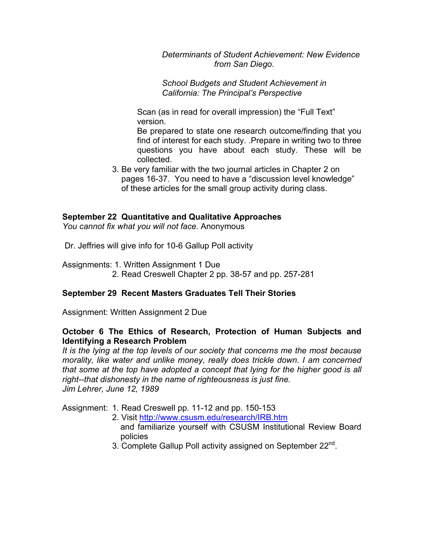*Determinants of Student Achievement: New Evidence from San Diego.* 

*School Budgets and Student Achievement in California: The Principal's Perspective* 

Scan (as in read for overall impression) the "Full Text" version.

Be prepared to state one research outcome/finding that you find of interest for each study. .Prepare in writing two to three questions you have about each study. These will be collected.

3. Be very familiar with the two journal articles in Chapter 2 on pages 16-37. You need to have a "discussion level knowledge" of these articles for the small group activity during class.

## **September 22 Quantitative and Qualitative Approaches**

*You cannot fix what you will not face.* Anonymous

Dr. Jeffries will give info for 10-6 Gallup Poll activity

Assignments: 1. Written Assignment 1 Due 2. Read Creswell Chapter 2 pp. 38-57 and pp. 257-281

## **September 29 Recent Masters Graduates Tell Their Stories**

Assignment: Written Assignment 2 Due

## **October 6 The Ethics of Research, Protection of Human Subjects and Identifying a Research Problem**

*It is the lying at the top levels of our society that concerns me the most because morality, like water and unlike money, really does trickle down. I am concerned that some at the top have adopted a concept that lying for the higher good is all right--that dishonesty in the name of righteousness is just fine. Jim Lehrer, June 12, 1989* 

Assignment: 1. Read Creswell pp. 11-12 and pp. 150-153

- 2. Visit http://www.csusm.edu/research/IRB.htm
	- and familiarize yourself with CSUSM Institutional Review Board policies
- 3. Complete Gallup Poll activity assigned on September 22<sup>nd</sup>.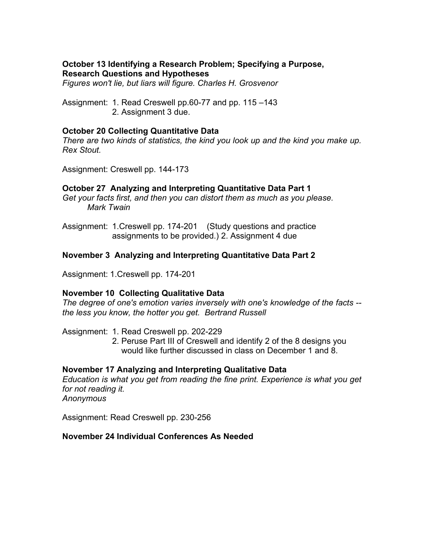## **October 13 Identifying a Research Problem; Specifying a Purpose, Research Questions and Hypotheses**

*Figures won't lie, but liars will figure. Charles H. Grosvenor* 

Assignment: 1. Read Creswell pp.60-77 and pp. 115 –143 2. Assignment 3 due.

### **October 20 Collecting Quantitative Data**

*There are two kinds of statistics, the kind you look up and the kind you make up. Rex Stout.* 

Assignment: Creswell pp. 144-173

## **October 27 Analyzing and Interpreting Quantitative Data Part 1**

*Get your facts first, and then you can distort them as much as you please. Mark Twain* 

Assignment: 1.Creswell pp. 174-201 (Study questions and practice assignments to be provided.) 2. Assignment 4 due

## **November 3 Analyzing and Interpreting Quantitative Data Part 2**

Assignment: 1.Creswell pp. 174-201

#### **November 10 Collecting Qualitative Data**

*The degree of one's emotion varies inversely with one's knowledge of the facts - the less you know, the hotter you get. Bertrand Russell* 

Assignment: 1. Read Creswell pp. 202-229

2. Peruse Part III of Creswell and identify 2 of the 8 designs you would like further discussed in class on December 1 and 8.

## **November 17 Analyzing and Interpreting Qualitative Data**

*Education is what you get from reading the fine print. Experience is what you get for not reading it. Anonymous* 

Assignment: Read Creswell pp. 230-256

#### **November 24 Individual Conferences As Needed**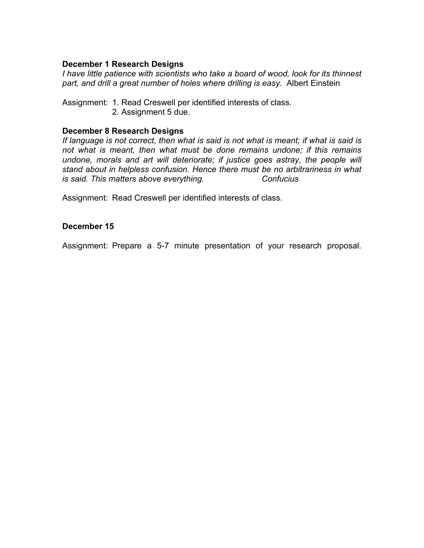### **December 1 Research Designs**

*I have little patience with scientists who take a board of wood, look for its thinnest part, and drill a great number of holes where drilling is easy.* Albert Einstein

Assignment: 1. Read Creswell per identified interests of class. 2. Assignment 5 due.

#### **December 8 Research Designs**

*If language is not correct, then what is said is not what is meant; if what is said is not what is meant, then what must be done remains undone; if this remains undone, morals and art will deteriorate; if justice goes astray, the people will stand about in helpless confusion. Hence there must be no arbitrariness in what is said. This matters above everything. Confucius*

Assignment: Read Creswell per identified interests of class.

#### **December 15**

Assignment: Prepare a 5-7 minute presentation of your research proposal.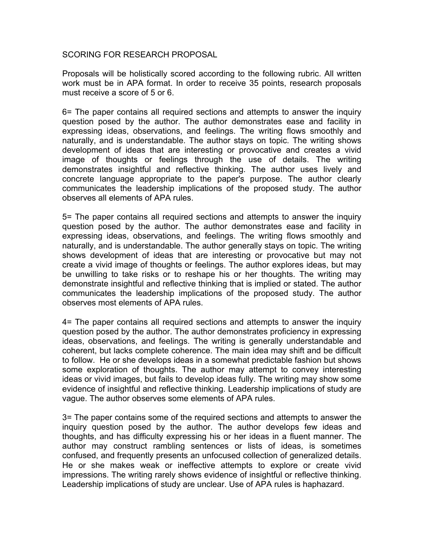#### SCORING FOR RESEARCH PROPOSAL

Proposals will be holistically scored according to the following rubric. All written work must be in APA format. In order to receive 35 points, research proposals must receive a score of 5 or 6.

6= The paper contains all required sections and attempts to answer the inquiry question posed by the author. The author demonstrates ease and facility in expressing ideas, observations, and feelings. The writing flows smoothly and naturally, and is understandable. The author stays on topic. The writing shows development of ideas that are interesting or provocative and creates a vivid image of thoughts or feelings through the use of details. The writing demonstrates insightful and reflective thinking. The author uses lively and concrete language appropriate to the paper's purpose. The author clearly communicates the leadership implications of the proposed study. The author observes all elements of APA rules.

5= The paper contains all required sections and attempts to answer the inquiry question posed by the author. The author demonstrates ease and facility in expressing ideas, observations, and feelings. The writing flows smoothly and naturally, and is understandable. The author generally stays on topic. The writing shows development of ideas that are interesting or provocative but may not create a vivid image of thoughts or feelings. The author explores ideas, but may be unwilling to take risks or to reshape his or her thoughts. The writing may demonstrate insightful and reflective thinking that is implied or stated. The author communicates the leadership implications of the proposed study. The author observes most elements of APA rules.

4= The paper contains all required sections and attempts to answer the inquiry question posed by the author. The author demonstrates proficiency in expressing ideas, observations, and feelings. The writing is generally understandable and coherent, but lacks complete coherence. The main idea may shift and be difficult to follow. He or she develops ideas in a somewhat predictable fashion but shows some exploration of thoughts. The author may attempt to convey interesting ideas or vivid images, but fails to develop ideas fully. The writing may show some evidence of insightful and reflective thinking. Leadership implications of study are vague. The author observes some elements of APA rules.

3= The paper contains some of the required sections and attempts to answer the inquiry question posed by the author. The author develops few ideas and thoughts, and has difficulty expressing his or her ideas in a fluent manner. The author may construct rambling sentences or lists of ideas, is sometimes confused, and frequently presents an unfocused collection of generalized details. He or she makes weak or ineffective attempts to explore or create vivid impressions. The writing rarely shows evidence of insightful or reflective thinking. Leadership implications of study are unclear. Use of APA rules is haphazard.